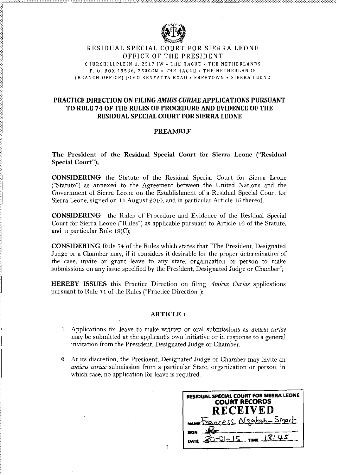

#### RESIDUAL SPECIAL COURT FOR SIERRA LEONE OFFICE OF THE PRESIDENT

CHURCIIILLPLEIN 1, 2517 JW . THE HAGUE . THE NETHERLANDS P. O. BOX 19536, 2500CM • THE HAGUE • THE NETHERLANDS (BRANCH OFFICE) JOMO KENYATTA ROAD . FREETOWN . SIERRA LEONE

# PRACTICE DIRECTION ON FILING AMIUS CURIAE APPLICATIONS PURSUANT TO RULE 74 OF THE RULES OF PROCEDURE AND EVIDENCE OF THE **RESIDUAL SPECIAL COURT FOR SIERRA LEONE**

# **PREAMBLE**

The President of the Residual Special Court for Sierra Leone ("Residual Special Court");

CONSIDERING the Statute of the Residual Special Court for Sierra Leone ("Statute") as annexed to the Agreement between the United Nations and the Government of Sierra Leone on the Establishment of a Residual Special Court for Sierra Leone, signed on 11 August 2010, and in particular Article 15 thereof;

**CONSIDERING** the Rules of Procedure and Evidence of the Residual Special Court for Sierra Leone ("Rules") as applicable pursuant to Article 16 of the Statute, and in particular Rule  $19(C)$ ;

**CONSIDERING** Rule 74 of the Rules which states that "The President, Designated Judge or a Chamber may, if it considers it desirable for the proper determination of the case, invite or grant leave to any state, organization or person to make submissions on any issue specified by the President, Designated Judge or Chamber";

**HEREBY ISSUES** this Practice Direction on filing Amicus Curiae applications pursuant to Rule 74 of the Rules ("Practice Direction"):

#### **ARTICLE 1**

- 1. Applications for leave to make written or oral submissions as *amicus curiae* may be submitted at the applicant's own initiative or in response to a general invitation from the President, Designated Judge or Chamber.
- 2. At its discretion, the President, Designated Judge or Chamber may invite an amicus curiae submission from a particular State, organization or person, in which case, no application for leave is required.

| <b>RESIDUAL SPECIAL COURT FOR SIERRA LEONE</b><br><b>COURT RECORDS</b><br><b>RECEIVED</b> |
|-------------------------------------------------------------------------------------------|
| MANNE DECINEESS Msaboh - Smart                                                            |
| $20 - 0 = 15$ TIME $13:45$                                                                |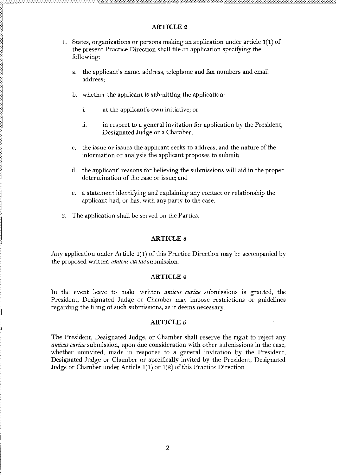# **ARTICLE 2**

- 1. States, organizations or persons making an application under article  $1(1)$  of the present Practice Direction shall file an application specifying the following:
	- the applicant's name, address, telephone and fax numbers and email a. address:
	- b. whether the applicant is submitting the application:
		- i. at the applicant's own initiative; or
		- ii. in respect to a general invitation for application by the President, Designated Judge or a Chamber;
	- c. the issue or issues the applicant seeks to address, and the nature of the information or analysis the applicant proposes to submit;
	- d. the applicant' reasons for believing the submissions will aid in the proper determination of the case or issue; and
	- e. a statement identifying and explaining any contact or relationship the applicant had, or has, with any party to the case.
- 2. The application shall be served on the Parties.

# **ARTICLE 3**

Any application under Article  $1(1)$  of this Practice Direction may be accompanied by the proposed written *amicus curiae* submission.

# **ARTICLE 4**

In the event leave to make written *amicus curiae* submissions is granted, the President, Designated Judge or Chamber may impose restrictions or guidelines regarding the filing of such submissions, as it deems necessary.

# **ARTICLE 5**

The President, Designated Judge, or Chamber shall reserve the right to reject any *amicus curiae* submission, upon due consideration with other submissions in the case, whether uninvited, made in response to a general invitation by the President, Designated Judge or Chamber or specifically invited by the President, Designated Judge or Chamber under Article  $1(1)$  or  $1(2)$  of this Practice Direction.